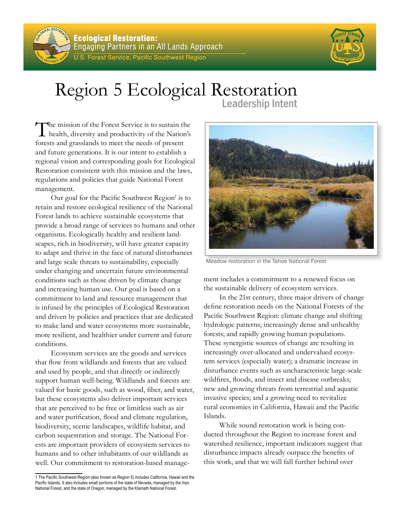



## Region 5 Ecological Restoration Leadership Intent

The mission of the Forest Service is to sustain the health, diversity and productivity of the Nation's forests and grasslands to meet the needs of present and future generations. It is our intent to establish a regional vision and corresponding goals for Ecological Restoration consistent with this mission and the laws, regulations and policies that guide National Forest management.

Our goal for the Pacific Southwest Region<sup>1</sup> is to retain and restore ecological resilience of the National Forest lands to achieve sustainable ecosystems that provide a broad range of services to humans and other organisms. Ecologically healthy and resilient landscapes, rich in biodiversity, will have greater capacity to adapt and thrive in the face of natural disturbances and large scale threats to sustainability, especially under changing and uncertain future environmental conditions such as those driven by climate change and increasing human use. Our goal is based on a commitment to land and resource management that is infused by the principles of Ecological Restoration and driven by policies and practices that are dedicated to make land and water ecosystems more sustainable, more resilient, and healthier under current and future conditions.

Ecosystem services are the goods and services that flow from wildlands and forests that are valued and used by people, and that directly or indirectly support human well-being. Wildlands and forests are valued for basic goods, such as wood, fiber, and water, but these ecosystems also deliver important services that are perceived to be free or limitless such as air and water purification, flood and climate regulation, biodiversity, scenic landscapes, wildlife habitat, and carbon sequestration and storage. The National Forests are important providers of ecosystem services to humans and to other inhabitants of our wildlands as well. Our commitment to restoration-based manage-

1 The Pacific Southwest Region (also known as Region 5) includes California, Hawaii and the Pacific Islands. It also includes small portions of the state of Nevada, managed by the Inyo National Forest, and the state of Oregon, managed by the Klamath National Forest.



Meadow restoration in the Tahoe National Forest

ment includes a commitment to a renewed focus on the sustainable delivery of ecosystem services.

In the 21st century, three major drivers of change define restoration needs on the National Forests of the Pacific Southwest Region: climate change and shifting hydrologic patterns; increasingly dense and unhealthy forests; and rapidly growing human populations. These synergistic sources of change are resulting in increasingly over-allocated and undervalued ecosystem services (especially water); a dramatic increase in disturbance events such as uncharacteristic large-scale wildfires, floods, and insect and disease outbreaks; new and growing threats from terrestrial and aquatic invasive species; and a growing need to revitalize rural economies in California, Hawaii and the Pacific Islands.

While sound restoration work is being conducted throughout the Region to increase forest and watershed resilience, important indicators suggest that disturbance impacts already outpace the benefits of this work, and that we will fall further behind over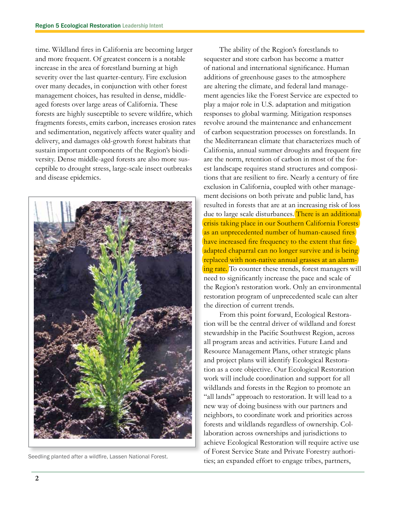time. Wildland fires in California are becoming larger and more frequent. Of greatest concern is a notable increase in the area of forestland burning at high severity over the last quarter-century. Fire exclusion over many decades, in conjunction with other forest management choices, has resulted in dense, middleaged forests over large areas of California. These forests are highly susceptible to severe wildfire, which fragments forests, emits carbon, increases erosion rates and sedimentation, negatively affects water quality and delivery, and damages old-growth forest habitats that sustain important components of the Region's biodiversity. Dense middle-aged forests are also more susceptible to drought stress, large-scale insect outbreaks and disease epidemics.



The ability of the Region's forestlands to sequester and store carbon has become a matter of national and international significance. Human additions of greenhouse gases to the atmosphere are altering the climate, and federal land management agencies like the Forest Service are expected to play a major role in U.S. adaptation and mitigation responses to global warming. Mitigation responses revolve around the maintenance and enhancement of carbon sequestration processes on forestlands. In the Mediterranean climate that characterizes much of California, annual summer droughts and frequent fire are the norm, retention of carbon in most of the forest landscape requires stand structures and compositions that are resilient to fire. Nearly a century of fire exclusion in California, coupled with other management decisions on both private and public land, has resulted in forests that are at an increasing risk of loss due to large scale disturbances. There is an additional crisis taking place in our Southern California Forests as an unprecedented number of human-caused fires have increased fire frequency to the extent that fireadapted chaparral can no longer survive and is being replaced with non-native annual grasses at an alarming rate. To counter these trends, forest managers will need to significantly increase the pace and scale of the Region's restoration work. Only an environmental restoration program of unprecedented scale can alter the direction of current trends.

From this point forward, Ecological Restoration will be the central driver of wildland and forest stewardship in the Pacific Southwest Region, across all program areas and activities. Future Land and Resource Management Plans, other strategic plans and project plans will identify Ecological Restoration as a core objective. Our Ecological Restoration work will include coordination and support for all wildlands and forests in the Region to promote an "all lands" approach to restoration. It will lead to a new way of doing business with our partners and neighbors, to coordinate work and priorities across forests and wildlands regardless of ownership. Collaboration across ownerships and jurisdictions to achieve Ecological Restoration will require active use of Forest Service State and Private Forestry authori-Seedling planted after a wildfire, Lassen National Forest.<br>
Seedling planted after a wildfire, Lassen National Forest.<br>
Seedling planted effort to engage tribes, partners,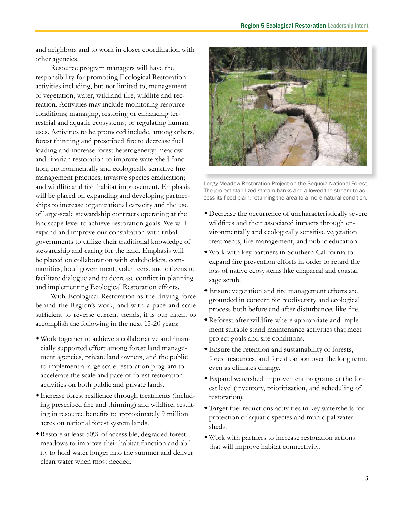and neighbors and to work in closer coordination with other agencies.

Resource program managers will have the responsibility for promoting Ecological Restoration activities including, but not limited to, management of vegetation, water, wildland fire, wildlife and recreation. Activities may include monitoring resource conditions; managing, restoring or enhancing terrestrial and aquatic ecosystems; or regulating human uses. Activities to be promoted include, among others, forest thinning and prescribed fire to decrease fuel loading and increase forest heterogeneity; meadow and riparian restoration to improve watershed function; environmentally and ecologically sensitive fire management practices; invasive species eradication; and wildlife and fish habitat improvement. Emphasis will be placed on expanding and developing partnerships to increase organizational capacity and the use of large-scale stewardship contracts operating at the landscape level to achieve restoration goals. We will expand and improve our consultation with tribal governments to utilize their traditional knowledge of stewardship and caring for the land. Emphasis will be placed on collaboration with stakeholders, communities, local government, volunteers, and citizens to facilitate dialogue and to decrease conflict in planning and implementing Ecological Restoration efforts.

With Ecological Restoration as the driving force behind the Region's work, and with a pace and scale sufficient to reverse current trends, it is our intent to accomplish the following in the next 15-20 years:

- Work together to achieve a collaborative and financially supported effort among forest land management agencies, private land owners, and the public to implement a large scale restoration program to accelerate the scale and pace of forest restoration activities on both public and private lands.
- Increase forest resilience through treatments (including prescribed fire and thinning) and wildfire, resulting in resource benefits to approximately 9 million acres on national forest system lands.
- Restore at least 50% of accessible, degraded forest meadows to improve their habitat function and ability to hold water longer into the summer and deliver clean water when most needed.



Loggy Meadow Restoration Project on the Sequoia National Forest. The project stabilized stream banks and allowed the stream to access its flood plain, returning the area to a more natural condition.

- Decrease the occurrence of uncharacteristically severe wildfires and their associated impacts through environmentally and ecologically sensitive vegetation treatments, fire management, and public education.
- Work with key partners in Southern California to expand fire prevention efforts in order to retard the loss of native ecosystems like chaparral and coastal sage scrub.
- Ensure vegetation and fire management efforts are grounded in concern for biodiversity and ecological process both before and after disturbances like fire.
- Reforest after wildfire where appropriate and implement suitable stand maintenance activities that meet project goals and site conditions.
- Ensure the retention and sustainability of forests, forest resources, and forest carbon over the long term, even as climates change.
- Expand watershed improvement programs at the forest level (inventory, prioritization, and scheduling of restoration).
- Target fuel reductions activities in key watersheds for protection of aquatic species and municipal watersheds.
- Work with partners to increase restoration actions that will improve habitat connectivity.